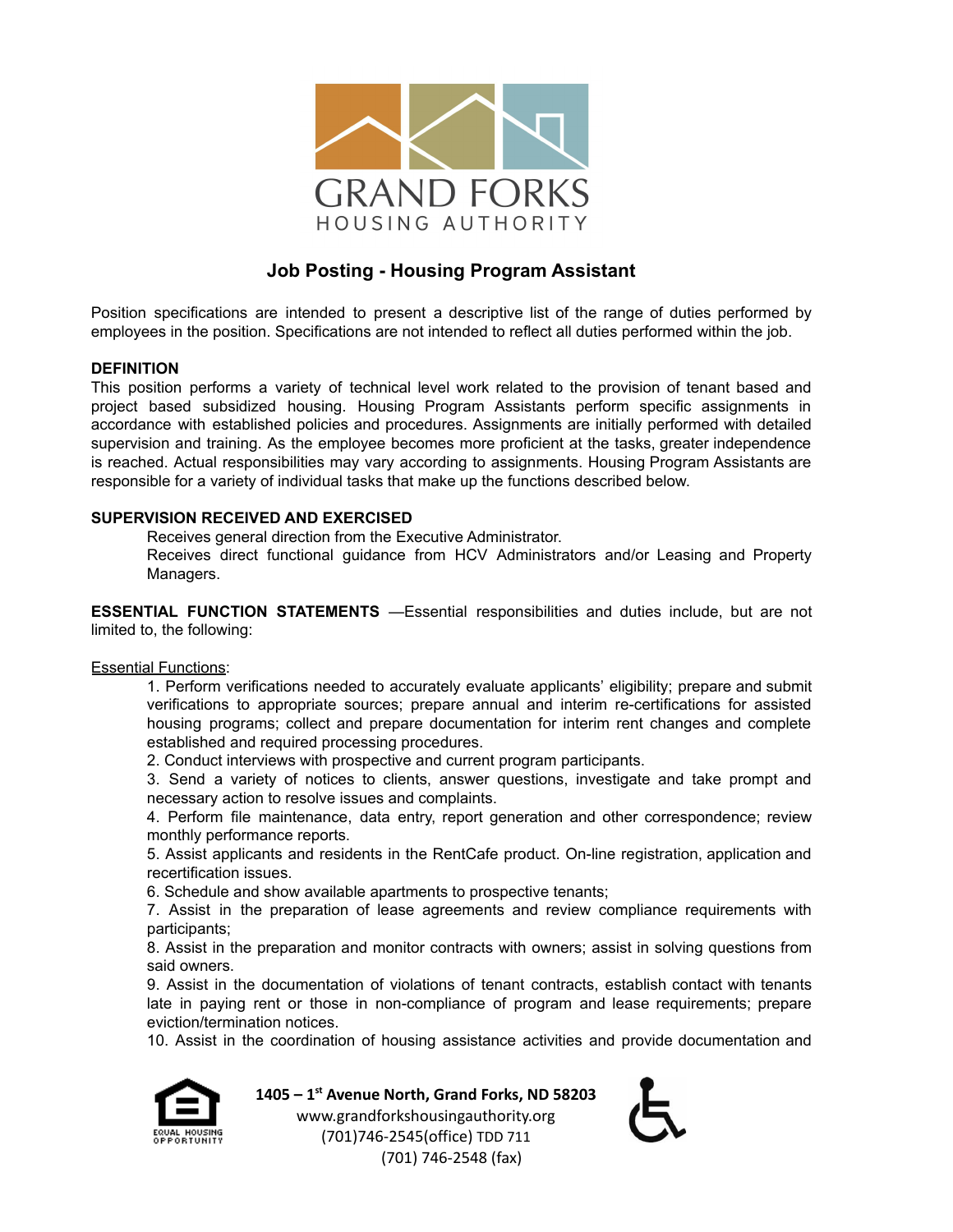

# **Job Posting - Housing Program Assistant**

Position specifications are intended to present a descriptive list of the range of duties performed by employees in the position. Specifications are not intended to reflect all duties performed within the job.

## **DEFINITION**

This position performs a variety of technical level work related to the provision of tenant based and project based subsidized housing. Housing Program Assistants perform specific assignments in accordance with established policies and procedures. Assignments are initially performed with detailed supervision and training. As the employee becomes more proficient at the tasks, greater independence is reached. Actual responsibilities may vary according to assignments. Housing Program Assistants are responsible for a variety of individual tasks that make up the functions described below.

## **SUPERVISION RECEIVED AND EXERCISED**

Receives general direction from the Executive Administrator.

Receives direct functional guidance from HCV Administrators and/or Leasing and Property Managers.

**ESSENTIAL FUNCTION STATEMENTS** —Essential responsibilities and duties include, but are not limited to, the following:

## **Essential Functions:**

1. Perform verifications needed to accurately evaluate applicants' eligibility; prepare and submit verifications to appropriate sources; prepare annual and interim re-certifications for assisted housing programs; collect and prepare documentation for interim rent changes and complete established and required processing procedures.

2. Conduct interviews with prospective and current program participants.

3. Send a variety of notices to clients, answer questions, investigate and take prompt and necessary action to resolve issues and complaints.

4. Perform file maintenance, data entry, report generation and other correspondence; review monthly performance reports.

5. Assist applicants and residents in the RentCafe product. On-line registration, application and recertification issues.

6. Schedule and show available apartments to prospective tenants;

7. Assist in the preparation of lease agreements and review compliance requirements with participants;

8. Assist in the preparation and monitor contracts with owners; assist in solving questions from said owners.

9. Assist in the documentation of violations of tenant contracts, establish contact with tenants late in paying rent or those in non-compliance of program and lease requirements; prepare eviction/termination notices.

10. Assist in the coordination of housing assistance activities and provide documentation and



**1405 – 1 st Avenue North, Grand Forks, ND 58203**

www.grandforkshousingauthority.org (701)746-2545(office) TDD 711 (701) 746-2548 (fax)

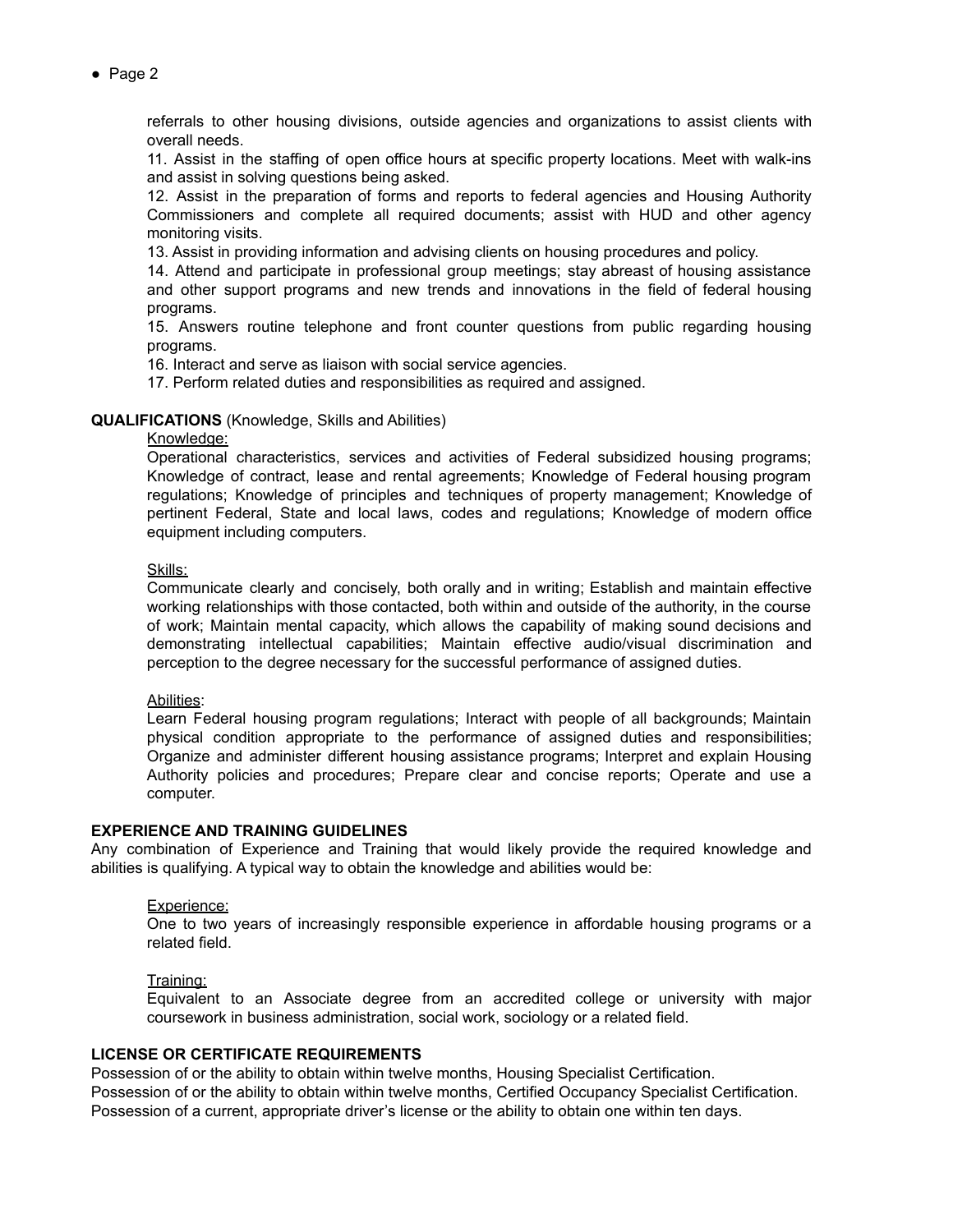● Page 2

referrals to other housing divisions, outside agencies and organizations to assist clients with overall needs.

11. Assist in the staffing of open office hours at specific property locations. Meet with walk-ins and assist in solving questions being asked.

12. Assist in the preparation of forms and reports to federal agencies and Housing Authority Commissioners and complete all required documents; assist with HUD and other agency monitoring visits.

13. Assist in providing information and advising clients on housing procedures and policy.

14. Attend and participate in professional group meetings; stay abreast of housing assistance and other support programs and new trends and innovations in the field of federal housing programs.

15. Answers routine telephone and front counter questions from public regarding housing programs.

16. Interact and serve as liaison with social service agencies.

17. Perform related duties and responsibilities as required and assigned.

#### **QUALIFICATIONS** (Knowledge, Skills and Abilities)

#### Knowledge:

Operational characteristics, services and activities of Federal subsidized housing programs; Knowledge of contract, lease and rental agreements; Knowledge of Federal housing program regulations; Knowledge of principles and techniques of property management; Knowledge of pertinent Federal, State and local laws, codes and regulations; Knowledge of modern office equipment including computers.

Skills:

Communicate clearly and concisely, both orally and in writing; Establish and maintain effective working relationships with those contacted, both within and outside of the authority, in the course of work; Maintain mental capacity, which allows the capability of making sound decisions and demonstrating intellectual capabilities; Maintain effective audio/visual discrimination and perception to the degree necessary for the successful performance of assigned duties.

#### Abilities:

Learn Federal housing program regulations; Interact with people of all backgrounds; Maintain physical condition appropriate to the performance of assigned duties and responsibilities; Organize and administer different housing assistance programs; Interpret and explain Housing Authority policies and procedures; Prepare clear and concise reports; Operate and use a computer.

#### **EXPERIENCE AND TRAINING GUIDELINES**

Any combination of Experience and Training that would likely provide the required knowledge and abilities is qualifying. A typical way to obtain the knowledge and abilities would be:

#### Experience:

One to two years of increasingly responsible experience in affordable housing programs or a related field.

#### Training:

Equivalent to an Associate degree from an accredited college or university with major coursework in business administration, social work, sociology or a related field.

#### **LICENSE OR CERTIFICATE REQUIREMENTS**

Possession of or the ability to obtain within twelve months, Housing Specialist Certification. Possession of or the ability to obtain within twelve months, Certified Occupancy Specialist Certification. Possession of a current, appropriate driver's license or the ability to obtain one within ten days.